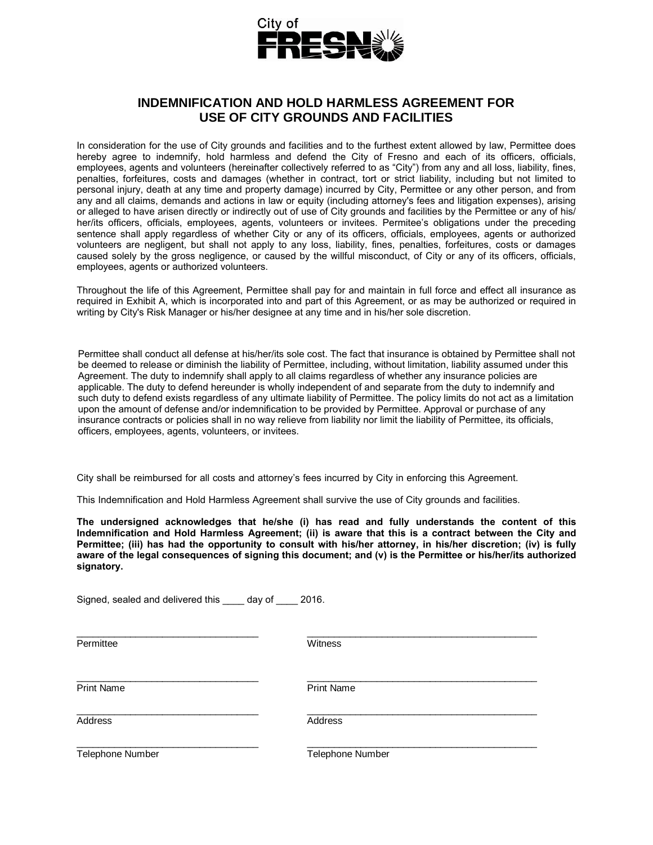

# **INDEMNIFICATION AND HOLD HARMLESS AGREEMENT FOR USE OF CITY GROUNDS AND FACILITIES**

In consideration for the use of City grounds and facilities and to the furthest extent allowed by law, Permittee does hereby agree to indemnify, hold harmless and defend the City of Fresno and each of its officers, officials, employees, agents and volunteers (hereinafter collectively referred to as "City") from any and all loss, liability, fines, penalties, forfeitures, costs and damages (whether in contract, tort or strict liability, including but not limited to personal injury, death at any time and property damage) incurred by City, Permittee or any other person, and from any and all claims, demands and actions in law or equity (including attorney's fees and litigation expenses), arising or alleged to have arisen directly or indirectly out of use of City grounds and facilities by the Permittee or any of his/ her/its officers, officials, employees, agents, volunteers or invitees. Permitee's obligations under the preceding sentence shall apply regardless of whether City or any of its officers, officials, employees, agents or authorized volunteers are negligent, but shall not apply to any loss, liability, fines, penalties, forfeitures, costs or damages caused solely by the gross negligence, or caused by the willful misconduct, of City or any of its officers, officials, employees, agents or authorized volunteers.

Throughout the life of this Agreement, Permittee shall pay for and maintain in full force and effect all insurance as required in Exhibit A, which is incorporated into and part of this Agreement, or as may be authorized or required in writing by City's Risk Manager or his/her designee at any time and in his/her sole discretion.

Permittee shall conduct all defense at his/her/its sole cost. The fact that insurance is obtained by Permittee shall not be deemed to release or diminish the liability of Permittee, including, without limitation, liability assumed under this Agreement. The duty to indemnify shall apply to all claims regardless of whether any insurance policies are applicable. The duty to defend hereunder is wholly independent of and separate from the duty to indemnify and such duty to defend exists regardless of any ultimate liability of Permittee. The policy limits do not act as a limitation upon the amount of defense and/or indemnification to be provided by Permittee. Approval or purchase of any insurance contracts or policies shall in no way relieve from liability nor limit the liability of Permittee, its officials, officers, employees, agents, volunteers, or invitees.

City shall be reimbursed for all costs and attorney's fees incurred by City in enforcing this Agreement.

This Indemnification and Hold Harmless Agreement shall survive the use of City grounds and facilities.

**The undersigned acknowledges that he/she (i) has read and fully understands the content of this Indemnification and Hold Harmless Agreement; (ii) is aware that this is a contract between the City and Permittee; (iii) has had the opportunity to consult with his/her attorney, in his/her discretion; (iv) is fully aware of the legal consequences of signing this document; and (v) is the Permittee or his/her/its authorized signatory.**

Signed, sealed and delivered this \_\_\_\_ day of \_\_\_\_ 2016.

Permittee Witness

\_\_\_\_\_\_\_\_\_\_\_\_\_\_\_\_\_\_\_\_\_\_\_\_\_\_\_\_\_\_\_\_\_\_ \_\_\_\_\_\_\_\_\_\_\_\_\_\_\_\_\_\_\_\_\_\_\_\_\_\_\_\_\_\_\_\_\_\_\_\_\_\_\_\_\_\_\_

\_\_\_\_\_\_\_\_\_\_\_\_\_\_\_\_\_\_\_\_\_\_\_\_\_\_\_\_\_\_\_\_\_\_ \_\_\_\_\_\_\_\_\_\_\_\_\_\_\_\_\_\_\_\_\_\_\_\_\_\_\_\_\_\_\_\_\_\_\_\_\_\_\_\_\_\_\_

\_\_\_\_\_\_\_\_\_\_\_\_\_\_\_\_\_\_\_\_\_\_\_\_\_\_\_\_\_\_\_\_\_\_ \_\_\_\_\_\_\_\_\_\_\_\_\_\_\_\_\_\_\_\_\_\_\_\_\_\_\_\_\_\_\_\_\_\_\_\_\_\_\_\_\_\_\_

\_\_\_\_\_\_\_\_\_\_\_\_\_\_\_\_\_\_\_\_\_\_\_\_\_\_\_\_\_\_\_\_\_\_ \_\_\_\_\_\_\_\_\_\_\_\_\_\_\_\_\_\_\_\_\_\_\_\_\_\_\_\_\_\_\_\_\_\_\_\_\_\_\_\_\_\_\_

Print Name **Print Name** 

Address Address Address Address Address Address Address Address Address Address Address Address Address Address A

Telephone Number Telephone Number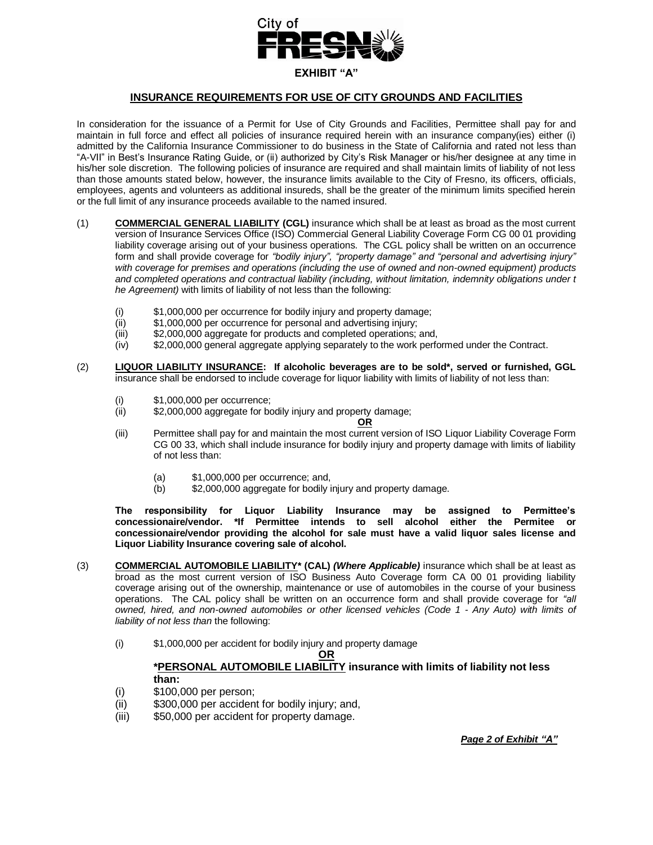

## **INSURANCE REQUIREMENTS FOR USE OF CITY GROUNDS AND FACILITIES**

In consideration for the issuance of a Permit for Use of City Grounds and Facilities, Permittee shall pay for and maintain in full force and effect all policies of insurance required herein with an insurance company(ies) either (i) admitted by the California Insurance Commissioner to do business in the State of California and rated not less than "A-VII" in Best's Insurance Rating Guide, or (ii) authorized by City's Risk Manager or his/her designee at any time in his/her sole discretion. The following policies of insurance are required and shall maintain limits of liability of not less than those amounts stated below, however, the insurance limits available to the City of Fresno, its officers, officials, employees, agents and volunteers as additional insureds, shall be the greater of the minimum limits specified herein or the full limit of any insurance proceeds available to the named insured.

- (1) **COMMERCIAL GENERAL LIABILITY (CGL)** insurance which shall be at least as broad as the most current version of Insurance Services Office (ISO) Commercial General Liability Coverage Form CG 00 01 providing liability coverage arising out of your business operations. The CGL policy shall be written on an occurrence form and shall provide coverage for *"bodily injury", "property damage" and "personal and advertising injury" with coverage for premises and operations (including the use of owned and non-owned equipment) products and completed operations and contractual liability (including, without limitation, indemnity obligations under t he Agreement)* with limits of liability of not less than the following:
	- (i) \$1,000,000 per occurrence for bodily injury and property damage;
	- (ii) \$1,000,000 per occurrence for personal and advertising injury;
	- (iii) \$2,000,000 aggregate for products and completed operations; and,
	- (iv) \$2,000,000 general aggregate applying separately to the work performed under the Contract.
- (2) **LIQUOR LIABILITY INSURANCE: If alcoholic beverages are to be sold\*, served or furnished, GGL** insurance shall be endorsed to include coverage for liquor liability with limits of liability of not less than:
	- (i) \$1,000,000 per occurrence;
	- (ii) \$2,000,000 aggregate for bodily injury and property damage;

#### **OR**

- (iii) Permittee shall pay for and maintain the most current version of ISO Liquor Liability Coverage Form CG 00 33, which shall include insurance for bodily injury and property damage with limits of liability of not less than:
	- (a)  $$1,000,000$  per occurrence; and,<br>(b)  $$2,000,000$  aggregate for bodily i
	- \$2,000,000 aggregate for bodily injury and property damage.

**The responsibility for Liquor Liability Insurance may be assigned to Permittee's concessionaire/vendor. \*If Permittee intends to sell alcohol either the Permitee or concessionaire/vendor providing the alcohol for sale must have a valid liquor sales license and Liquor Liability Insurance covering sale of alcohol.** 

- (3) **COMMERCIAL AUTOMOBILE LIABILITY\* (CAL)** *(Where Applicable)* insurance which shall be at least as broad as the most current version of ISO Business Auto Coverage form CA 00 01 providing liability coverage arising out of the ownership, maintenance or use of automobiles in the course of your business operations. The CAL policy shall be written on an occurrence form and shall provide coverage for *"all owned, hired, and non-owned automobiles or other licensed vehicles (Code 1 - Any Auto) with limits of liability of not less than* the following:
	- (i) \$1,000,000 per accident for bodily injury and property damage

#### **OR**

### **\*PERSONAL AUTOMOBILE LIABILITY insurance with limits of liability not less than:**

- (i) \$100,000 per person;
- (ii) \$300,000 per accident for bodily injury; and,
- (iii) \$50,000 per accident for property damage.

*Page 2 of Exhibit "A"*